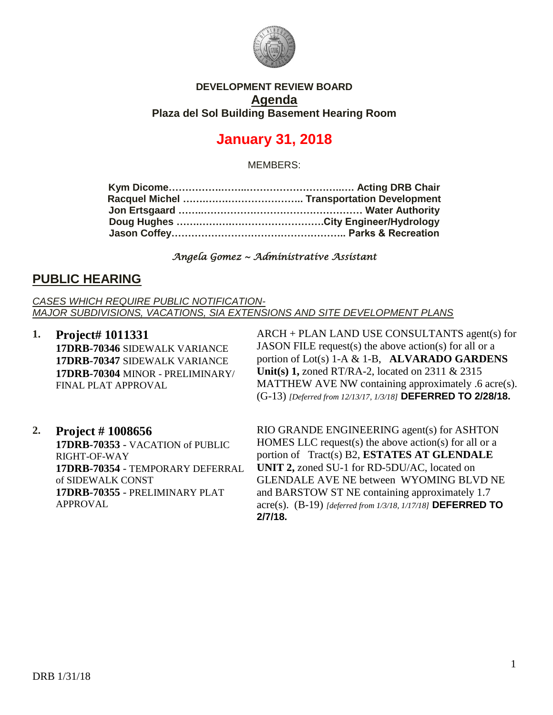

### **DEVELOPMENT REVIEW BOARD Agenda Plaza del Sol Building Basement Hearing Room**

# **January 31, 2018**

MEMBERS:

#### *Angela Gomez ~ Administrative Assistant*

### **PUBLIC HEARING**

*CASES WHICH REQUIRE PUBLIC NOTIFICATION-MAJOR SUBDIVISIONS, VACATIONS, SIA EXTENSIONS AND SITE DEVELOPMENT PLANS*

**1. Project# 1011331 17DRB-70346** SIDEWALK VARIANCE **17DRB-70347** SIDEWALK VARIANCE **17DRB-70304** MINOR - PRELIMINARY/ FINAL PLAT APPROVAL

ARCH + PLAN LAND USE CONSULTANTS agent(s) for JASON FILE request(s) the above action(s) for all or a portion of Lot(s) 1-A & 1-B, **ALVARADO GARDENS Unit(s) 1,** zoned RT/RA-2, located on 2311 & 2315 MATTHEW AVE NW containing approximately .6 acre(s). (G-13) *[Deferred from 12/13/17, 1/3/18]* **DEFERRED TO 2/28/18.**

**2. Project # 1008656 17DRB-70353** - VACATION of PUBLIC RIGHT-OF-WAY **17DRB-70354** - TEMPORARY DEFERRAL of SIDEWALK CONST **17DRB-70355** - PRELIMINARY PLAT APPROVAL

RIO GRANDE ENGINEERING agent(s) for ASHTON HOMES LLC request(s) the above action(s) for all or a portion of Tract(s) B2, **ESTATES AT GLENDALE UNIT 2,** zoned SU-1 for RD-5DU/AC, located on GLENDALE AVE NE between WYOMING BLVD NE and BARSTOW ST NE containing approximately 1.7 acre(s). (B-19) *[deferred from 1/3/18, 1/17/18]* **DEFERRED TO 2/7/18.**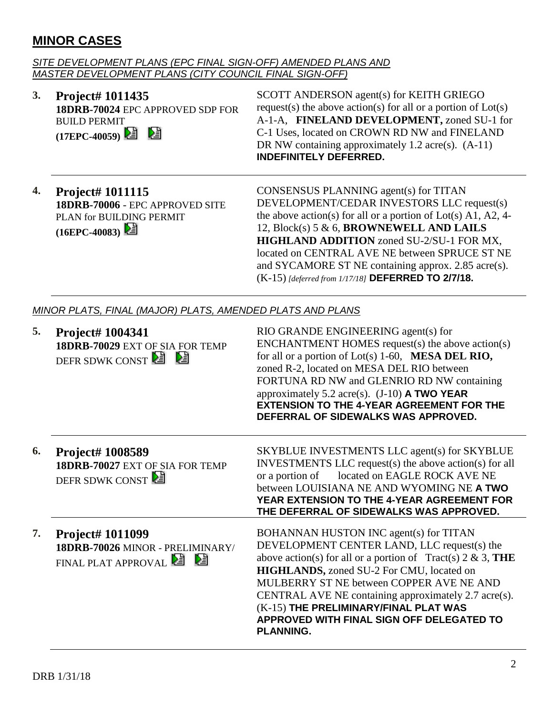## **MINOR CASES**

#### *SITE DEVELOPMENT PLANS (EPC FINAL SIGN-OFF) AMENDED PLANS AND MASTER DEVELOPMENT PLANS (CITY COUNCIL FINAL SIGN-OFF)*

**3. Project# 1011435 18DRB-70024** EPC APPROVED SDP FOR BUILD PERMIT **(17EPC-40059)** 

SCOTT ANDERSON agent(s) for KEITH GRIEGO request(s) the above action(s) for all or a portion of Lot(s) A-1-A, **FINELAND DEVELOPMENT,** zoned SU-1 for C-1 Uses, located on CROWN RD NW and FINELAND DR NW containing approximately 1.2 acre(s).  $(A-11)$ **INDEFINITELY DEFERRED.**

**4. Project# 1011115 18DRB-70006** - EPC APPROVED SITE PLAN for BUILDING PERMIT **(16EPC-40083)** 

CONSENSUS PLANNING agent(s) for TITAN DEVELOPMENT/CEDAR INVESTORS LLC request(s) the above action(s) for all or a portion of Lot(s) A1, A2, 4- 12, Block(s) 5 & 6, **BROWNEWELL AND LAILS HIGHLAND ADDITION** zoned SU-2/SU-1 FOR MX, located on CENTRAL AVE NE between SPRUCE ST NE and SYCAMORE ST NE containing approx. 2.85 acre(s). (K-15) *[deferred from 1/17/18]* **DEFERRED TO 2/7/18.**

### *MINOR PLATS, FINAL (MAJOR) PLATS, AMENDED PLATS AND PLANS*

| 5. | Project# 1004341<br>18DRB-70029 EXT OF SIA FOR TEMP<br>DEFR SDWK CONST <sup>2</sup> <b>2</b> | RIO GRANDE ENGINEERING agent(s) for<br>ENCHANTMENT HOMES request(s) the above action(s)<br>for all or a portion of $Lot(s)$ 1-60, <b>MESA DEL RIO</b> ,<br>zoned R-2, located on MESA DEL RIO between<br>FORTUNA RD NW and GLENRIO RD NW containing<br>approximately 5.2 acre(s). $(J-10)$ <b>A TWO YEAR</b><br><b>EXTENSION TO THE 4-YEAR AGREEMENT FOR THE</b><br>DEFERRAL OF SIDEWALKS WAS APPROVED.             |
|----|----------------------------------------------------------------------------------------------|---------------------------------------------------------------------------------------------------------------------------------------------------------------------------------------------------------------------------------------------------------------------------------------------------------------------------------------------------------------------------------------------------------------------|
| 6. | <b>Project# 1008589</b><br>18DRB-70027 EXT OF SIA FOR TEMP<br>DEFR SDWK CONST                | SKYBLUE INVESTMENTS LLC agent(s) for SKYBLUE<br>INVESTMENTS LLC request(s) the above action(s) for all<br>located on EAGLE ROCK AVE NE<br>or a portion of<br>between LOUISIANA NE AND WYOMING NE A TWO<br>YEAR EXTENSION TO THE 4-YEAR AGREEMENT FOR<br>THE DEFERRAL OF SIDEWALKS WAS APPROVED.                                                                                                                     |
| 7. | Project# 1011099<br>18DRB-70026 MINOR - PRELIMINARY/<br>FINAL PLAT APPROVAL <b>E</b>         | BOHANNAN HUSTON INC agent(s) for TITAN<br>DEVELOPMENT CENTER LAND, LLC request(s) the<br>above action(s) for all or a portion of $Treat(s) 2 \& 3$ , THE<br>HIGHLANDS, zoned SU-2 For CMU, located on<br>MULBERRY ST NE between COPPER AVE NE AND<br>CENTRAL AVE NE containing approximately 2.7 acre(s).<br>(K-15) THE PRELIMINARY/FINAL PLAT WAS<br>APPROVED WITH FINAL SIGN OFF DELEGATED TO<br><b>PLANNING.</b> |